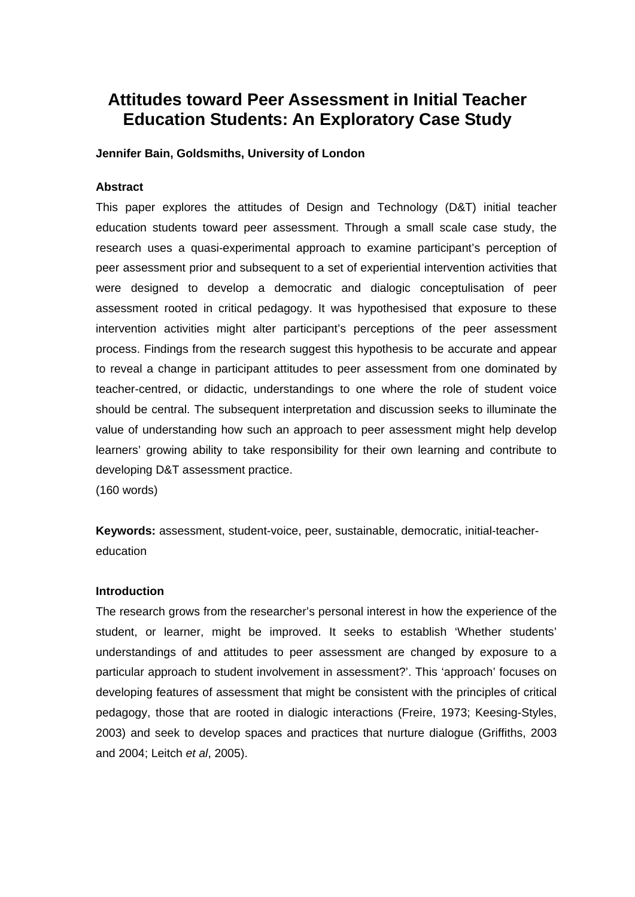# **Attitudes toward Peer Assessment in Initial Teacher Education Students: An Exploratory Case Study**

## **Jennifer Bain, Goldsmiths, University of London**

# **Abstract**

This paper explores the attitudes of Design and Technology (D&T) initial teacher education students toward peer assessment. Through a small scale case study, the research uses a quasi-experimental approach to examine participant's perception of peer assessment prior and subsequent to a set of experiential intervention activities that were designed to develop a democratic and dialogic conceptulisation of peer assessment rooted in critical pedagogy. It was hypothesised that exposure to these intervention activities might alter participant's perceptions of the peer assessment process. Findings from the research suggest this hypothesis to be accurate and appear to reveal a change in participant attitudes to peer assessment from one dominated by teacher-centred, or didactic, understandings to one where the role of student voice should be central. The subsequent interpretation and discussion seeks to illuminate the value of understanding how such an approach to peer assessment might help develop learners' growing ability to take responsibility for their own learning and contribute to developing D&T assessment practice.

(160 words)

**Keywords:** assessment, student-voice, peer, sustainable, democratic, initial-teachereducation

### **Introduction**

The research grows from the researcher's personal interest in how the experience of the student, or learner, might be improved. It seeks to establish 'Whether students' understandings of and attitudes to peer assessment are changed by exposure to a particular approach to student involvement in assessment?'. This 'approach' focuses on developing features of assessment that might be consistent with the principles of critical pedagogy, those that are rooted in dialogic interactions (Freire, 1973; Keesing-Styles, 2003) and seek to develop spaces and practices that nurture dialogue (Griffiths, 2003 and 2004; Leitch *et al*, 2005).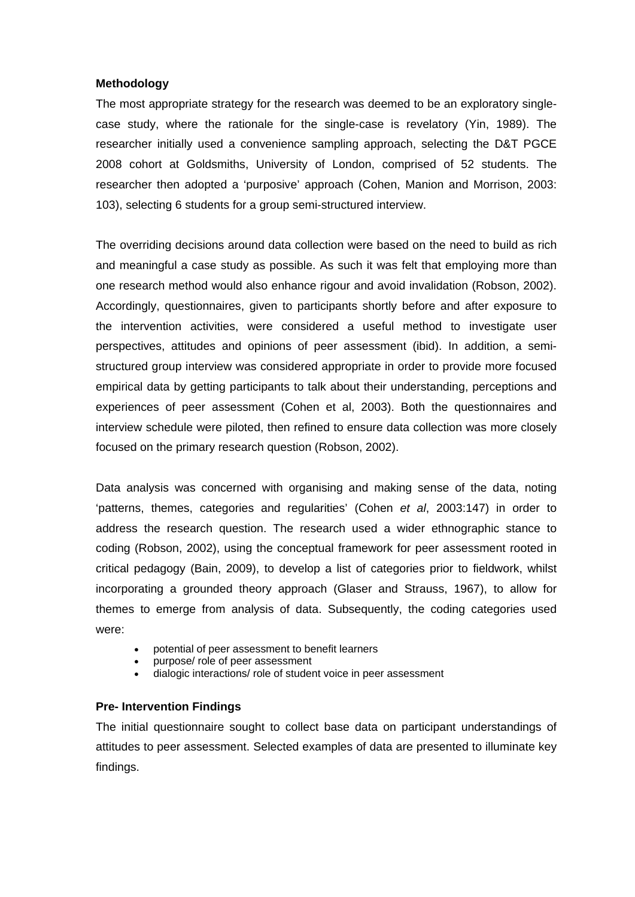### **Methodology**

The most appropriate strategy for the research was deemed to be an exploratory singlecase study, where the rationale for the single-case is revelatory (Yin, 1989). The researcher initially used a convenience sampling approach, selecting the D&T PGCE 2008 cohort at Goldsmiths, University of London, comprised of 52 students. The researcher then adopted a 'purposive' approach (Cohen, Manion and Morrison, 2003: 103), selecting 6 students for a group semi-structured interview.

The overriding decisions around data collection were based on the need to build as rich and meaningful a case study as possible. As such it was felt that employing more than one research method would also enhance rigour and avoid invalidation (Robson, 2002). Accordingly, questionnaires, given to participants shortly before and after exposure to the intervention activities, were considered a useful method to investigate user perspectives, attitudes and opinions of peer assessment (ibid). In addition, a semistructured group interview was considered appropriate in order to provide more focused empirical data by getting participants to talk about their understanding, perceptions and experiences of peer assessment (Cohen et al, 2003). Both the questionnaires and interview schedule were piloted, then refined to ensure data collection was more closely focused on the primary research question (Robson, 2002).

Data analysis was concerned with organising and making sense of the data, noting 'patterns, themes, categories and regularities' (Cohen *et al*, 2003:147) in order to address the research question. The research used a wider ethnographic stance to coding (Robson, 2002), using the conceptual framework for peer assessment rooted in critical pedagogy (Bain, 2009), to develop a list of categories prior to fieldwork, whilst incorporating a grounded theory approach (Glaser and Strauss, 1967), to allow for themes to emerge from analysis of data. Subsequently, the coding categories used were:

- potential of peer assessment to benefit learners
- purpose/ role of peer assessment
- dialogic interactions/ role of student voice in peer assessment

## **Pre- Intervention Findings**

The initial questionnaire sought to collect base data on participant understandings of attitudes to peer assessment. Selected examples of data are presented to illuminate key findings.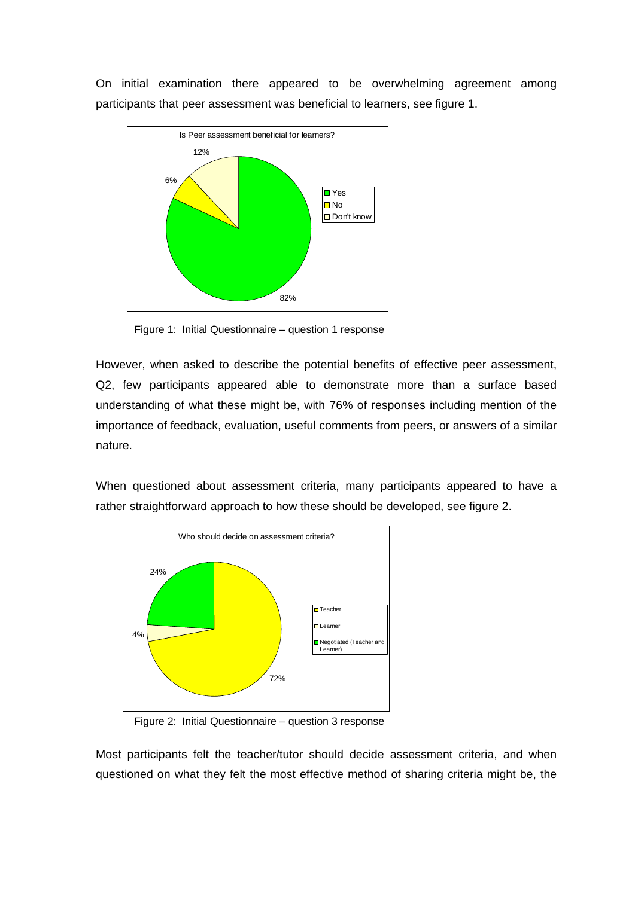On initial examination there appeared to be overwhelming agreement among participants that peer assessment was beneficial to learners, see figure 1.



Figure 1: Initial Questionnaire – question 1 response

However, when asked to describe the potential benefits of effective peer assessment, Q2, few participants appeared able to demonstrate more than a surface based understanding of what these might be, with 76% of responses including mention of the importance of feedback, evaluation, useful comments from peers, or answers of a similar nature.

When questioned about assessment criteria, many participants appeared to have a rather straightforward approach to how these should be developed, see figure 2.



Figure 2: Initial Questionnaire – question 3 response

Most participants felt the teacher/tutor should decide assessment criteria, and when questioned on what they felt the most effective method of sharing criteria might be, the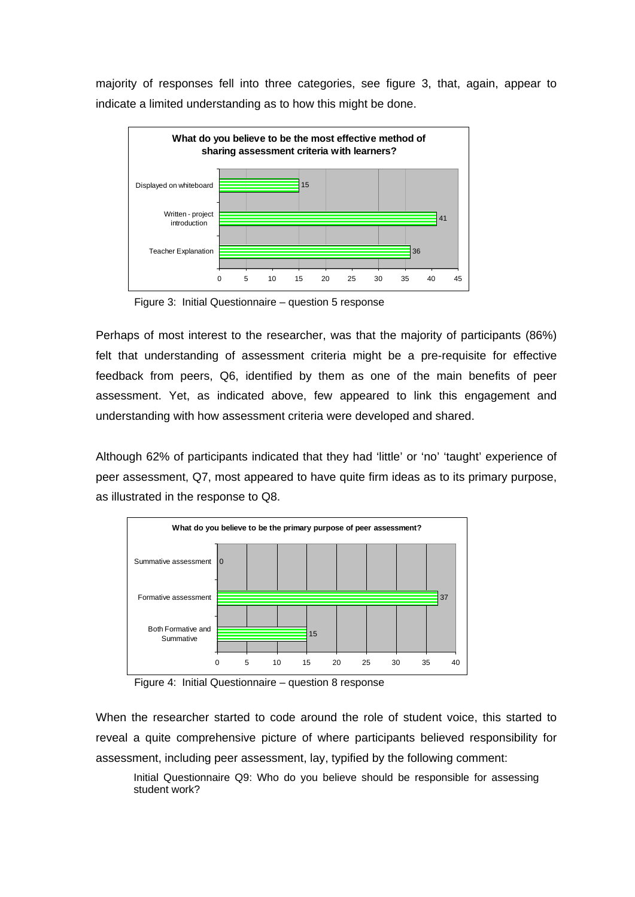majority of responses fell into three categories, see figure 3, that, again, appear to indicate a limited understanding as to how this might be done.



Figure 3: Initial Questionnaire – question 5 response

Perhaps of most interest to the researcher, was that the majority of participants (86%) felt that understanding of assessment criteria might be a pre-requisite for effective feedback from peers, Q6, identified by them as one of the main benefits of peer assessment. Yet, as indicated above, few appeared to link this engagement and understanding with how assessment criteria were developed and shared.

Although 62% of participants indicated that they had 'little' or 'no' 'taught' experience of peer assessment, Q7, most appeared to have quite firm ideas as to its primary purpose, as illustrated in the response to Q8.



Figure 4: Initial Questionnaire – question 8 response

When the researcher started to code around the role of student voice, this started to reveal a quite comprehensive picture of where participants believed responsibility for assessment, including peer assessment, lay, typified by the following comment:

Initial Questionnaire Q9: Who do you believe should be responsible for assessing student work?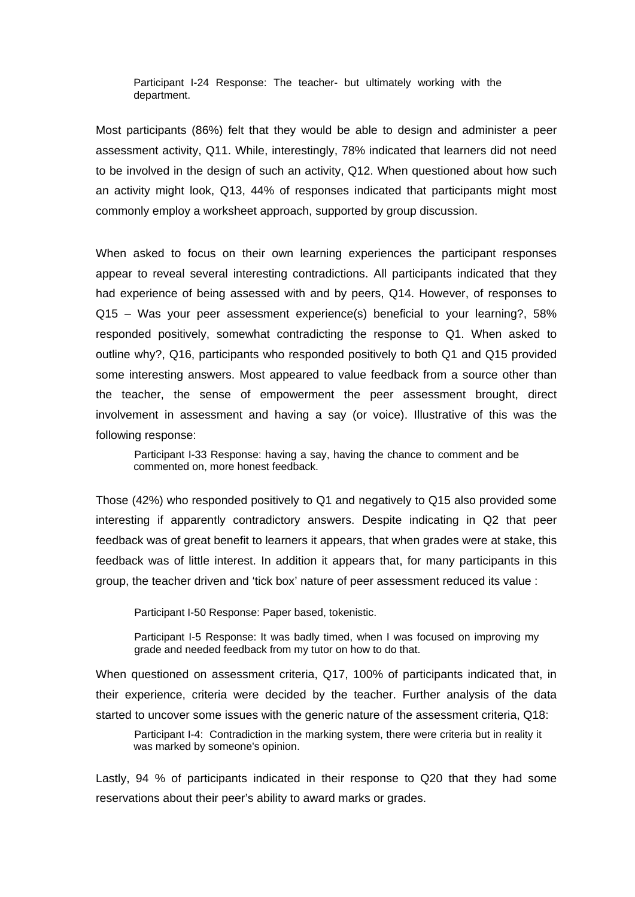Participant I-24 Response: The teacher- but ultimately working with the department.

Most participants (86%) felt that they would be able to design and administer a peer assessment activity, Q11. While, interestingly, 78% indicated that learners did not need to be involved in the design of such an activity, Q12. When questioned about how such an activity might look, Q13, 44% of responses indicated that participants might most commonly employ a worksheet approach, supported by group discussion.

When asked to focus on their own learning experiences the participant responses appear to reveal several interesting contradictions. All participants indicated that they had experience of being assessed with and by peers, Q14. However, of responses to Q15 – Was your peer assessment experience(s) beneficial to your learning?, 58% responded positively, somewhat contradicting the response to Q1. When asked to outline why?, Q16, participants who responded positively to both Q1 and Q15 provided some interesting answers. Most appeared to value feedback from a source other than the teacher, the sense of empowerment the peer assessment brought, direct involvement in assessment and having a say (or voice). Illustrative of this was the following response:

Participant I-33 Response: having a say, having the chance to comment and be commented on, more honest feedback.

Those (42%) who responded positively to Q1 and negatively to Q15 also provided some interesting if apparently contradictory answers. Despite indicating in Q2 that peer feedback was of great benefit to learners it appears, that when grades were at stake, this feedback was of little interest. In addition it appears that, for many participants in this group, the teacher driven and 'tick box' nature of peer assessment reduced its value :

Participant I-50 Response: Paper based, tokenistic.

Participant I-5 Response: It was badly timed, when I was focused on improving my grade and needed feedback from my tutor on how to do that.

When questioned on assessment criteria, Q17, 100% of participants indicated that, in their experience, criteria were decided by the teacher. Further analysis of the data started to uncover some issues with the generic nature of the assessment criteria, Q18:

Participant I-4: Contradiction in the marking system, there were criteria but in reality it was marked by someone's opinion.

Lastly, 94 % of participants indicated in their response to Q20 that they had some reservations about their peer's ability to award marks or grades.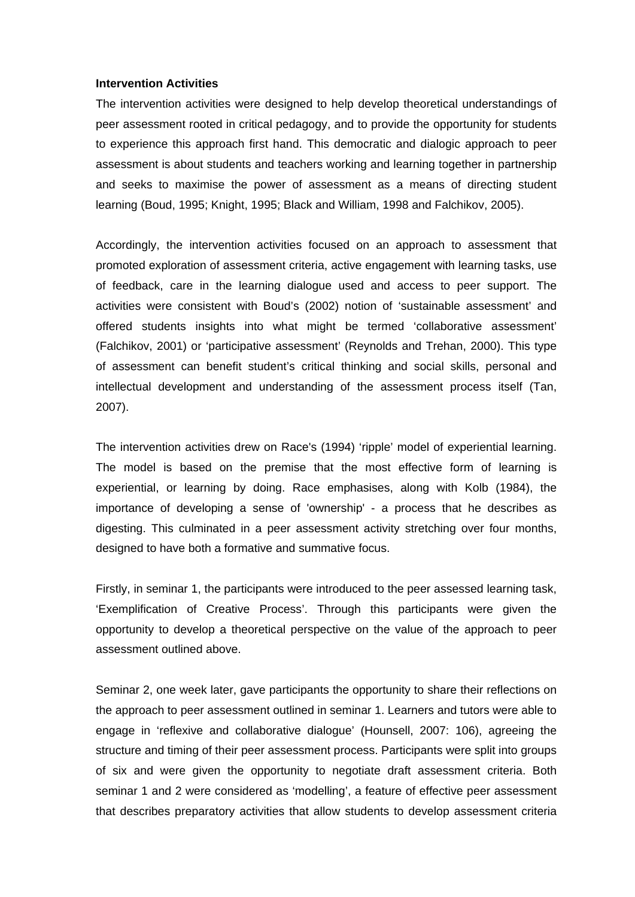#### **Intervention Activities**

The intervention activities were designed to help develop theoretical understandings of peer assessment rooted in critical pedagogy, and to provide the opportunity for students to experience this approach first hand. This democratic and dialogic approach to peer assessment is about students and teachers working and learning together in partnership and seeks to maximise the power of assessment as a means of directing student learning (Boud, 1995; Knight, 1995; Black and William, 1998 and Falchikov, 2005).

Accordingly, the intervention activities focused on an approach to assessment that promoted exploration of assessment criteria, active engagement with learning tasks, use of feedback, care in the learning dialogue used and access to peer support. The activities were consistent with Boud's (2002) notion of 'sustainable assessment' and offered students insights into what might be termed 'collaborative assessment' (Falchikov, 2001) or 'participative assessment' (Reynolds and Trehan, 2000). This type of assessment can benefit student's critical thinking and social skills, personal and intellectual development and understanding of the assessment process itself (Tan, 2007).

The intervention activities drew on Race's (1994) 'ripple' model of experiential learning. The model is based on the premise that the most effective form of learning is experiential, or learning by doing. Race emphasises, along with Kolb (1984), the importance of developing a sense of 'ownership' - a process that he describes as digesting. This culminated in a peer assessment activity stretching over four months, designed to have both a formative and summative focus.

Firstly, in seminar 1, the participants were introduced to the peer assessed learning task, 'Exemplification of Creative Process'. Through this participants were given the opportunity to develop a theoretical perspective on the value of the approach to peer assessment outlined above.

Seminar 2, one week later, gave participants the opportunity to share their reflections on the approach to peer assessment outlined in seminar 1. Learners and tutors were able to engage in 'reflexive and collaborative dialogue' (Hounsell, 2007: 106), agreeing the structure and timing of their peer assessment process. Participants were split into groups of six and were given the opportunity to negotiate draft assessment criteria. Both seminar 1 and 2 were considered as 'modelling', a feature of effective peer assessment that describes preparatory activities that allow students to develop assessment criteria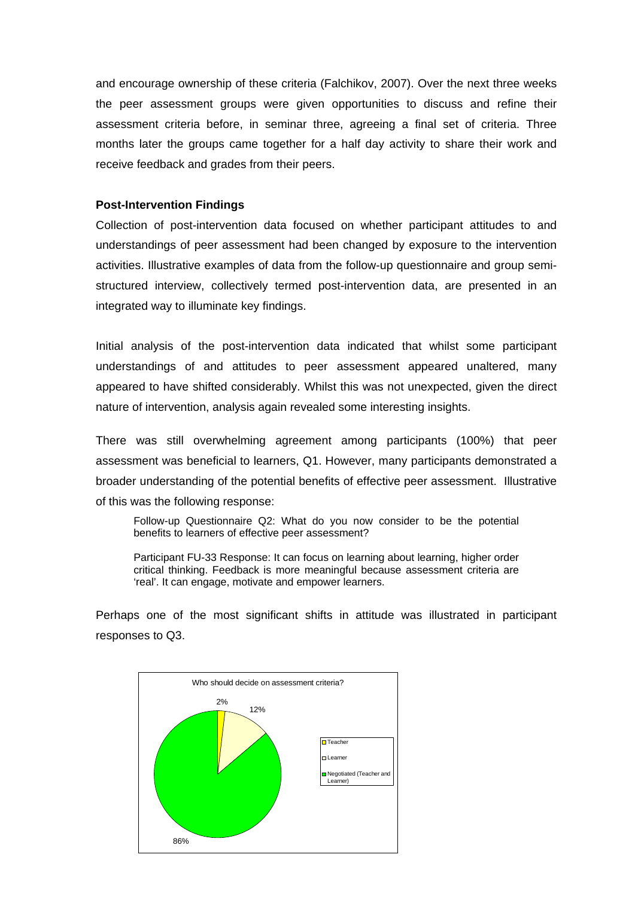and encourage ownership of these criteria (Falchikov, 2007). Over the next three weeks the peer assessment groups were given opportunities to discuss and refine their assessment criteria before, in seminar three, agreeing a final set of criteria. Three months later the groups came together for a half day activity to share their work and receive feedback and grades from their peers.

#### **Post-Intervention Findings**

Collection of post-intervention data focused on whether participant attitudes to and understandings of peer assessment had been changed by exposure to the intervention activities. Illustrative examples of data from the follow-up questionnaire and group semistructured interview, collectively termed post-intervention data, are presented in an integrated way to illuminate key findings.

Initial analysis of the post-intervention data indicated that whilst some participant understandings of and attitudes to peer assessment appeared unaltered, many appeared to have shifted considerably. Whilst this was not unexpected, given the direct nature of intervention, analysis again revealed some interesting insights.

There was still overwhelming agreement among participants (100%) that peer assessment was beneficial to learners, Q1. However, many participants demonstrated a broader understanding of the potential benefits of effective peer assessment. Illustrative of this was the following response:

Follow-up Questionnaire Q2: What do you now consider to be the potential benefits to learners of effective peer assessment?

Participant FU-33 Response: It can focus on learning about learning, higher order critical thinking. Feedback is more meaningful because assessment criteria are 'real'. It can engage, motivate and empower learners.

Perhaps one of the most significant shifts in attitude was illustrated in participant responses to Q3.

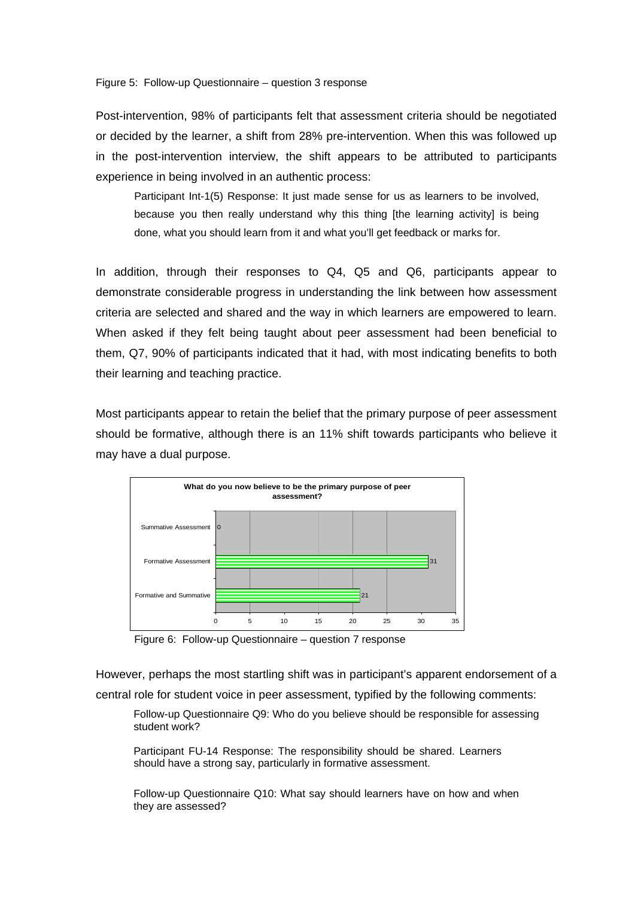Figure 5: Follow-up Questionnaire – question 3 response

Post-intervention, 98% of participants felt that assessment criteria should be negotiated or decided by the learner, a shift from 28% pre-intervention. When this was followed up in the post-intervention interview, the shift appears to be attributed to participants experience in being involved in an authentic process:

Participant Int-1(5) Response: It just made sense for us as learners to be involved, because you then really understand why this thing [the learning activity] is being done, what you should learn from it and what you'll get feedback or marks for.

In addition, through their responses to Q4, Q5 and Q6, participants appear to demonstrate considerable progress in understanding the link between how assessment criteria are selected and shared and the way in which learners are empowered to learn. When asked if they felt being taught about peer assessment had been beneficial to them, Q7, 90% of participants indicated that it had, with most indicating benefits to both their learning and teaching practice.

Most participants appear to retain the belief that the primary purpose of peer assessment should be formative, although there is an 11% shift towards participants who believe it may have a dual purpose.



Figure 6: Follow-up Questionnaire – question 7 response

However, perhaps the most startling shift was in participant's apparent endorsement of a central role for student voice in peer assessment, typified by the following comments:

Follow-up Questionnaire Q9: Who do you believe should be responsible for assessing student work?

Participant FU-14 Response: The responsibility should be shared. Learners should have a strong say, particularly in formative assessment.

Follow-up Questionnaire Q10: What say should learners have on how and when they are assessed?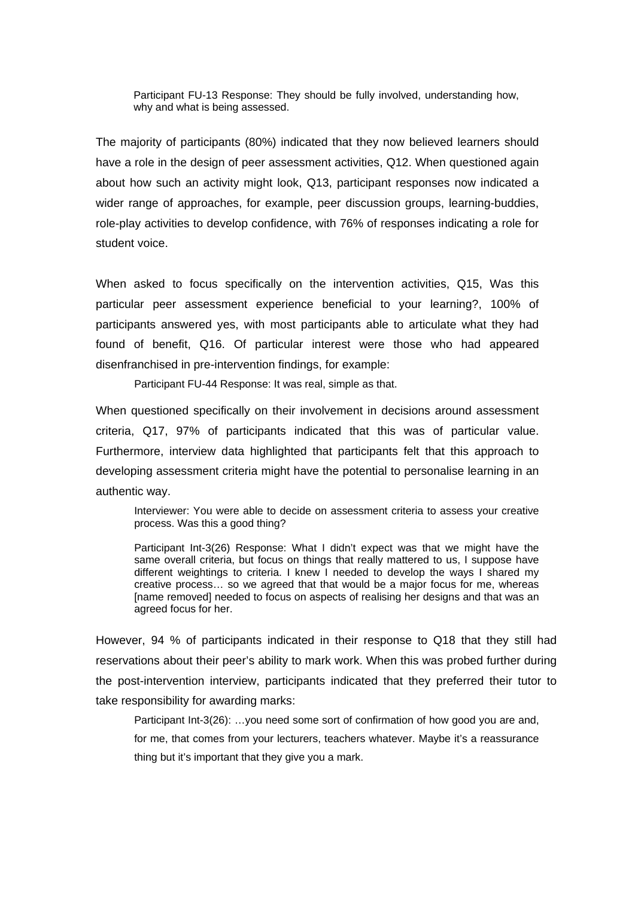Participant FU-13 Response: They should be fully involved, understanding how, why and what is being assessed.

The majority of participants (80%) indicated that they now believed learners should have a role in the design of peer assessment activities, Q12. When questioned again about how such an activity might look, Q13, participant responses now indicated a wider range of approaches, for example, peer discussion groups, learning-buddies, role-play activities to develop confidence, with 76% of responses indicating a role for student voice.

When asked to focus specifically on the intervention activities, Q15, Was this particular peer assessment experience beneficial to your learning?, 100% of participants answered yes, with most participants able to articulate what they had found of benefit, Q16. Of particular interest were those who had appeared disenfranchised in pre-intervention findings, for example:

Participant FU-44 Response: It was real, simple as that.

When questioned specifically on their involvement in decisions around assessment criteria, Q17, 97% of participants indicated that this was of particular value. Furthermore, interview data highlighted that participants felt that this approach to developing assessment criteria might have the potential to personalise learning in an authentic way.

Interviewer: You were able to decide on assessment criteria to assess your creative process. Was this a good thing?

Participant Int-3(26) Response: What I didn't expect was that we might have the same overall criteria, but focus on things that really mattered to us, I suppose have different weightings to criteria. I knew I needed to develop the ways I shared my creative process… so we agreed that that would be a major focus for me, whereas [name removed] needed to focus on aspects of realising her designs and that was an agreed focus for her.

However, 94 % of participants indicated in their response to Q18 that they still had reservations about their peer's ability to mark work. When this was probed further during the post-intervention interview, participants indicated that they preferred their tutor to take responsibility for awarding marks:

Participant Int-3(26): ...you need some sort of confirmation of how good you are and, for me, that comes from your lecturers, teachers whatever. Maybe it's a reassurance thing but it's important that they give you a mark.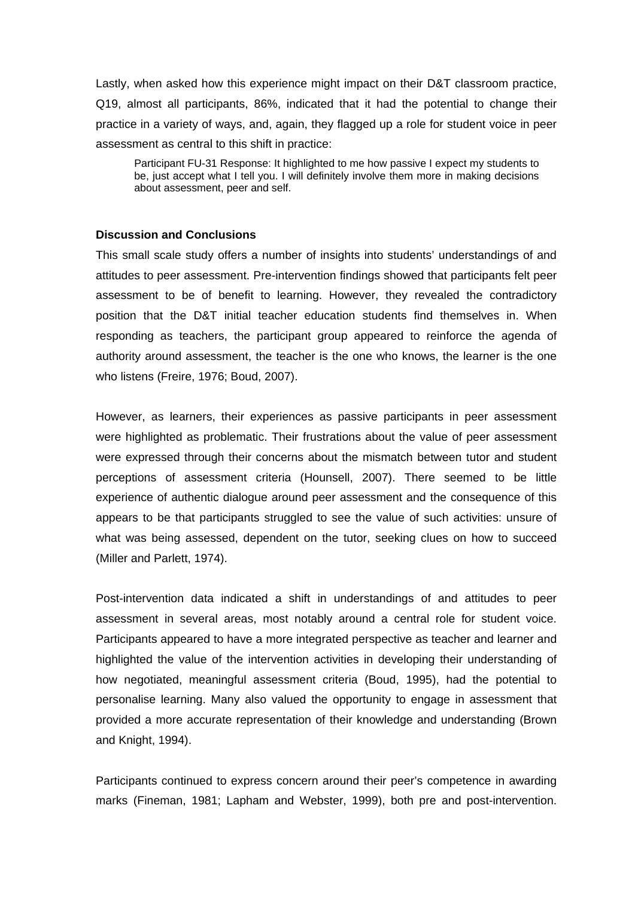Lastly, when asked how this experience might impact on their D&T classroom practice, Q19, almost all participants, 86%, indicated that it had the potential to change their practice in a variety of ways, and, again, they flagged up a role for student voice in peer assessment as central to this shift in practice:

Participant FU-31 Response: It highlighted to me how passive I expect my students to be, just accept what I tell you. I will definitely involve them more in making decisions about assessment, peer and self.

#### **Discussion and Conclusions**

This small scale study offers a number of insights into students' understandings of and attitudes to peer assessment. Pre-intervention findings showed that participants felt peer assessment to be of benefit to learning. However, they revealed the contradictory position that the D&T initial teacher education students find themselves in. When responding as teachers, the participant group appeared to reinforce the agenda of authority around assessment, the teacher is the one who knows, the learner is the one who listens (Freire, 1976; Boud, 2007).

However, as learners, their experiences as passive participants in peer assessment were highlighted as problematic. Their frustrations about the value of peer assessment were expressed through their concerns about the mismatch between tutor and student perceptions of assessment criteria (Hounsell, 2007). There seemed to be little experience of authentic dialogue around peer assessment and the consequence of this appears to be that participants struggled to see the value of such activities: unsure of what was being assessed, dependent on the tutor, seeking clues on how to succeed (Miller and Parlett, 1974).

Post-intervention data indicated a shift in understandings of and attitudes to peer assessment in several areas, most notably around a central role for student voice. Participants appeared to have a more integrated perspective as teacher and learner and highlighted the value of the intervention activities in developing their understanding of how negotiated, meaningful assessment criteria (Boud, 1995), had the potential to personalise learning. Many also valued the opportunity to engage in assessment that provided a more accurate representation of their knowledge and understanding (Brown and Knight, 1994).

Participants continued to express concern around their peer's competence in awarding marks (Fineman, 1981; Lapham and Webster, 1999), both pre and post-intervention.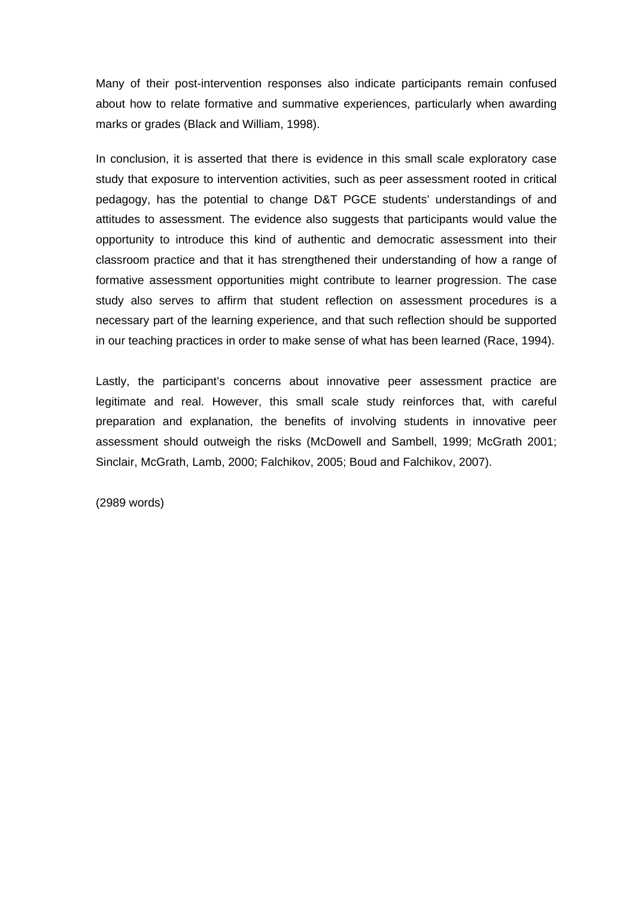Many of their post-intervention responses also indicate participants remain confused about how to relate formative and summative experiences, particularly when awarding marks or grades (Black and William, 1998).

In conclusion, it is asserted that there is evidence in this small scale exploratory case study that exposure to intervention activities, such as peer assessment rooted in critical pedagogy, has the potential to change D&T PGCE students' understandings of and attitudes to assessment. The evidence also suggests that participants would value the opportunity to introduce this kind of authentic and democratic assessment into their classroom practice and that it has strengthened their understanding of how a range of formative assessment opportunities might contribute to learner progression. The case study also serves to affirm that student reflection on assessment procedures is a necessary part of the learning experience, and that such reflection should be supported in our teaching practices in order to make sense of what has been learned (Race, 1994).

Lastly, the participant's concerns about innovative peer assessment practice are legitimate and real. However, this small scale study reinforces that, with careful preparation and explanation, the benefits of involving students in innovative peer assessment should outweigh the risks (McDowell and Sambell, 1999; McGrath 2001; Sinclair, McGrath, Lamb, 2000; Falchikov, 2005; Boud and Falchikov, 2007).

(2989 words)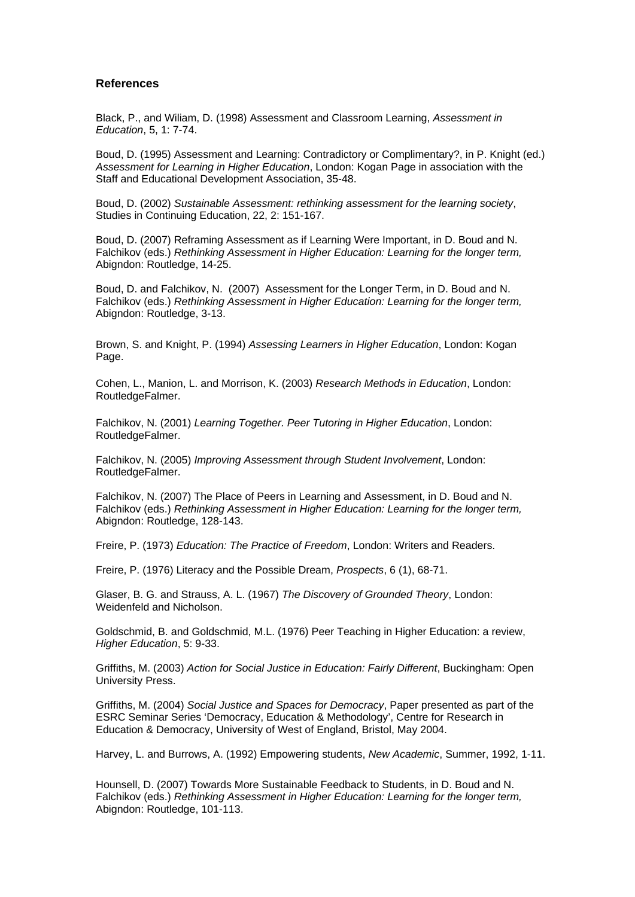#### **References**

Black, P., and Wiliam, D. (1998) Assessment and Classroom Learning, *Assessment in Education*, 5, 1: 7-74.

Boud, D. (1995) Assessment and Learning: Contradictory or Complimentary?, in P. Knight (ed.) *Assessment for Learning in Higher Education*, London: Kogan Page in association with the Staff and Educational Development Association, 35-48.

Boud, D. (2002) *Sustainable Assessment: rethinking assessment for the learning society*, Studies in Continuing Education, 22, 2: 151-167.

Boud, D. (2007) Reframing Assessment as if Learning Were Important, in D. Boud and N. Falchikov (eds.) *Rethinking Assessment in Higher Education: Learning for the longer term,* Abigndon: Routledge, 14-25.

Boud, D. and Falchikov, N. (2007) Assessment for the Longer Term, in D. Boud and N. Falchikov (eds.) *Rethinking Assessment in Higher Education: Learning for the longer term,* Abigndon: Routledge, 3-13.

Brown, S. and Knight, P. (1994) *Assessing Learners in Higher Education*, London: Kogan Page.

Cohen, L., Manion, L. and Morrison, K. (2003) *Research Methods in Education*, London: RoutledgeFalmer.

Falchikov, N. (2001) *Learning Together. Peer Tutoring in Higher Education*, London: RoutledgeFalmer.

Falchikov, N. (2005) *Improving Assessment through Student Involvement*, London: RoutledgeFalmer.

Falchikov, N. (2007) The Place of Peers in Learning and Assessment, in D. Boud and N. Falchikov (eds.) *Rethinking Assessment in Higher Education: Learning for the longer term,* Abigndon: Routledge, 128-143.

Freire, P. (1973) *Education: The Practice of Freedom*, London: Writers and Readers.

Freire, P. (1976) Literacy and the Possible Dream, *Prospects*, 6 (1), 68-71.

Glaser, B. G. and Strauss, A. L. (1967) *The Discovery of Grounded Theory*, London: Weidenfeld and Nicholson.

Goldschmid, B. and Goldschmid, M.L. (1976) Peer Teaching in Higher Education: a review, *Higher Education*, 5: 9-33.

Griffiths, M. (2003) *Action for Social Justice in Education: Fairly Different*, Buckingham: Open University Press.

Griffiths, M. (2004) *Social Justice and Spaces for Democracy*, Paper presented as part of the ESRC Seminar Series 'Democracy, Education & Methodology', Centre for Research in Education & Democracy, University of West of England, Bristol, May 2004.

Harvey, L. and Burrows, A. (1992) Empowering students, *New Academic*, Summer, 1992, 1-11.

Hounsell, D. (2007) Towards More Sustainable Feedback to Students, in D. Boud and N. Falchikov (eds.) *Rethinking Assessment in Higher Education: Learning for the longer term,* Abigndon: Routledge, 101-113.